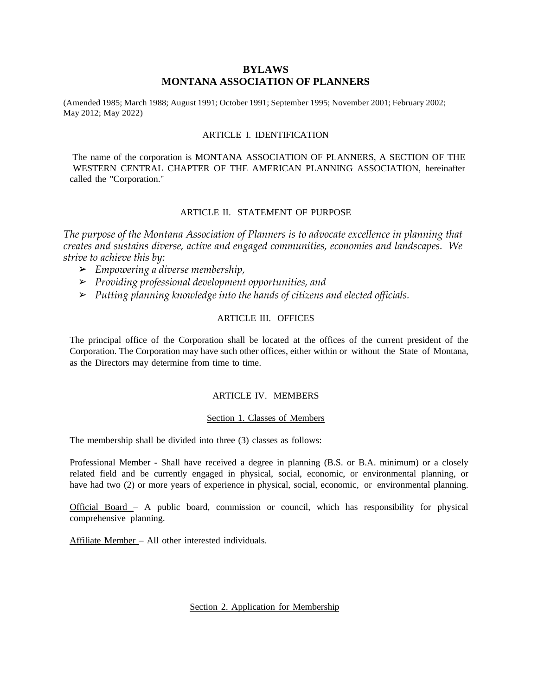# **BYLAWS MONTANA ASSOCIATION OF PLANNERS**

(Amended 1985; March 1988; August 1991; October 1991; September 1995; November 2001; February 2002; May 2012; May 2022)

### ARTICLE I. IDENTIFICATION

The name of the corporation is MONTANA ASSOCIATION OF PLANNERS, A SECTION OF THE WESTERN CENTRAL CHAPTER OF THE AMERICAN PLANNING ASSOCIATION, hereinafter called the "Corporation."

# ARTICLE II. STATEMENT OF PURPOSE

*The purpose of the Montana Association of Planners is to advocate excellence in planning that creates and sustains diverse, active and engaged communities, economies and landscapes. We strive to achieve this by:*

- ➢ *Empowering a diverse membership,*
- ➢ *Providing professional development opportunities, and*
- ➢ *Putting planning knowledge into the hands of citizens and elected officials.*

### ARTICLE III. OFFICES

The principal office of the Corporation shall be located at the offices of the current president of the Corporation. The Corporation may have such other offices, either within or without the State of Montana, as the Directors may determine from time to time.

### ARTICLE IV. MEMBERS

#### Section 1. Classes of Members

The membership shall be divided into three (3) classes as follows:

Professional Member - Shall have received a degree in planning (B.S. or B.A. minimum) or a closely related field and be currently engaged in physical, social, economic, or environmental planning, or have had two (2) or more years of experience in physical, social, economic, or environmental planning.

Official Board – A public board, commission or council, which has responsibility for physical comprehensive planning.

Affiliate Member – All other interested individuals.

#### Section 2. Application for Membership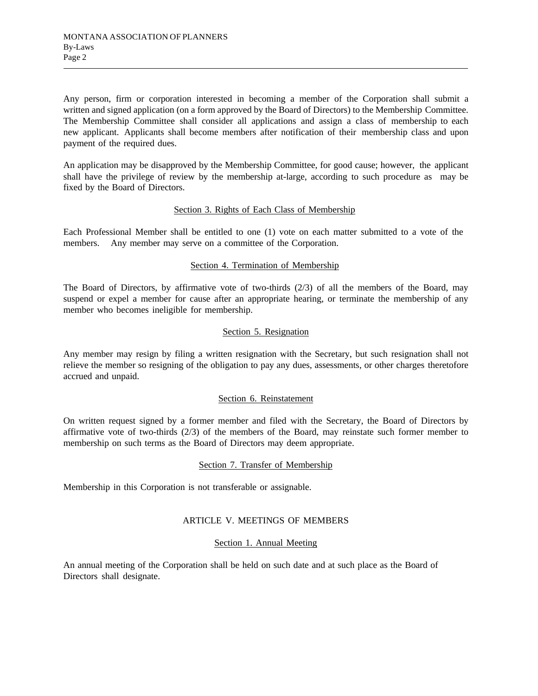Any person, firm or corporation interested in becoming a member of the Corporation shall submit a written and signed application (on a form approved by the Board of Directors) to the Membership Committee. The Membership Committee shall consider all applications and assign a class of membership to each new applicant. Applicants shall become members after notification of their membership class and upon payment of the required dues.

An application may be disapproved by the Membership Committee, for good cause; however, the applicant shall have the privilege of review by the membership at-large, according to such procedure as may be fixed by the Board of Directors.

## Section 3. Rights of Each Class of Membership

Each Professional Member shall be entitled to one (1) vote on each matter submitted to a vote of the members. Any member may serve on a committee of the Corporation.

## Section 4. Termination of Membership

The Board of Directors, by affirmative vote of two-thirds (2/3) of all the members of the Board, may suspend or expel a member for cause after an appropriate hearing, or terminate the membership of any member who becomes ineligible for membership.

## Section 5. Resignation

Any member may resign by filing a written resignation with the Secretary, but such resignation shall not relieve the member so resigning of the obligation to pay any dues, assessments, or other charges theretofore accrued and unpaid.

### Section 6. Reinstatement

On written request signed by a former member and filed with the Secretary, the Board of Directors by affirmative vote of two-thirds (2/3) of the members of the Board, may reinstate such former member to membership on such terms as the Board of Directors may deem appropriate.

### Section 7. Transfer of Membership

Membership in this Corporation is not transferable or assignable.

### ARTICLE V. MEETINGS OF MEMBERS

#### Section 1. Annual Meeting

An annual meeting of the Corporation shall be held on such date and at such place as the Board of Directors shall designate.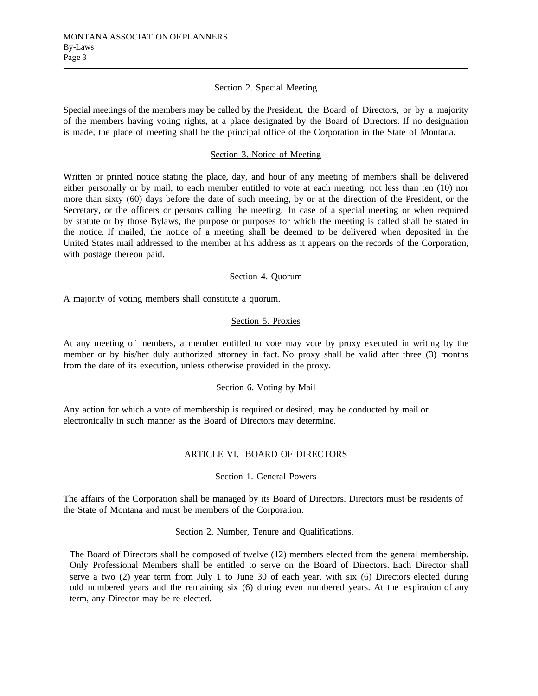### Section 2. Special Meeting

Special meetings of the members may be called by the President, the Board of Directors, or by a majority of the members having voting rights, at a place designated by the Board of Directors. If no designation is made, the place of meeting shall be the principal office of the Corporation in the State of Montana.

# Section 3. Notice of Meeting

Written or printed notice stating the place, day, and hour of any meeting of members shall be delivered either personally or by mail, to each member entitled to vote at each meeting, not less than ten (10) nor more than sixty (60) days before the date of such meeting, by or at the direction of the President, or the Secretary, or the officers or persons calling the meeting. In case of a special meeting or when required by statute or by those Bylaws, the purpose or purposes for which the meeting is called shall be stated in the notice. If mailed, the notice of a meeting shall be deemed to be delivered when deposited in the United States mail addressed to the member at his address as it appears on the records of the Corporation, with postage thereon paid.

## Section 4. Quorum

A majority of voting members shall constitute a quorum.

## Section 5. Proxies

At any meeting of members, a member entitled to vote may vote by proxy executed in writing by the member or by his/her duly authorized attorney in fact. No proxy shall be valid after three (3) months from the date of its execution, unless otherwise provided in the proxy.

## Section 6. Voting by Mail

Any action for which a vote of membership is required or desired, may be conducted by mail or electronically in such manner as the Board of Directors may determine.

# ARTICLE VI. BOARD OF DIRECTORS

## Section 1. General Powers

The affairs of the Corporation shall be managed by its Board of Directors. Directors must be residents of the State of Montana and must be members of the Corporation.

## Section 2. Number, Tenure and Qualifications.

The Board of Directors shall be composed of twelve (12) members elected from the general membership. Only Professional Members shall be entitled to serve on the Board of Directors. Each Director shall serve a two (2) year term from July 1 to June 30 of each year, with six (6) Directors elected during odd numbered years and the remaining six (6) during even numbered years. At the expiration of any term, any Director may be re-elected.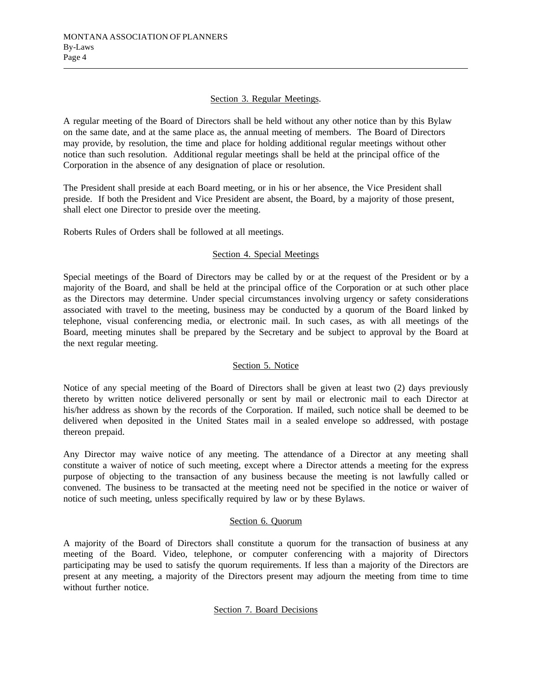## Section 3. Regular Meetings.

A regular meeting of the Board of Directors shall be held without any other notice than by this Bylaw on the same date, and at the same place as, the annual meeting of members. The Board of Directors may provide, by resolution, the time and place for holding additional regular meetings without other notice than such resolution. Additional regular meetings shall be held at the principal office of the Corporation in the absence of any designation of place or resolution.

The President shall preside at each Board meeting, or in his or her absence, the Vice President shall preside. If both the President and Vice President are absent, the Board, by a majority of those present, shall elect one Director to preside over the meeting.

Roberts Rules of Orders shall be followed at all meetings.

## Section 4. Special Meetings

Special meetings of the Board of Directors may be called by or at the request of the President or by a majority of the Board, and shall be held at the principal office of the Corporation or at such other place as the Directors may determine. Under special circumstances involving urgency or safety considerations associated with travel to the meeting, business may be conducted by a quorum of the Board linked by telephone, visual conferencing media, or electronic mail. In such cases, as with all meetings of the Board, meeting minutes shall be prepared by the Secretary and be subject to approval by the Board at the next regular meeting.

# Section 5. Notice

Notice of any special meeting of the Board of Directors shall be given at least two (2) days previously thereto by written notice delivered personally or sent by mail or electronic mail to each Director at his/her address as shown by the records of the Corporation. If mailed, such notice shall be deemed to be delivered when deposited in the United States mail in a sealed envelope so addressed, with postage thereon prepaid.

Any Director may waive notice of any meeting. The attendance of a Director at any meeting shall constitute a waiver of notice of such meeting, except where a Director attends a meeting for the express purpose of objecting to the transaction of any business because the meeting is not lawfully called or convened. The business to be transacted at the meeting need not be specified in the notice or waiver of notice of such meeting, unless specifically required by law or by these Bylaws.

## Section 6. Quorum

A majority of the Board of Directors shall constitute a quorum for the transaction of business at any meeting of the Board. Video, telephone, or computer conferencing with a majority of Directors participating may be used to satisfy the quorum requirements. If less than a majority of the Directors are present at any meeting, a majority of the Directors present may adjourn the meeting from time to time without further notice.

## Section 7. Board Decisions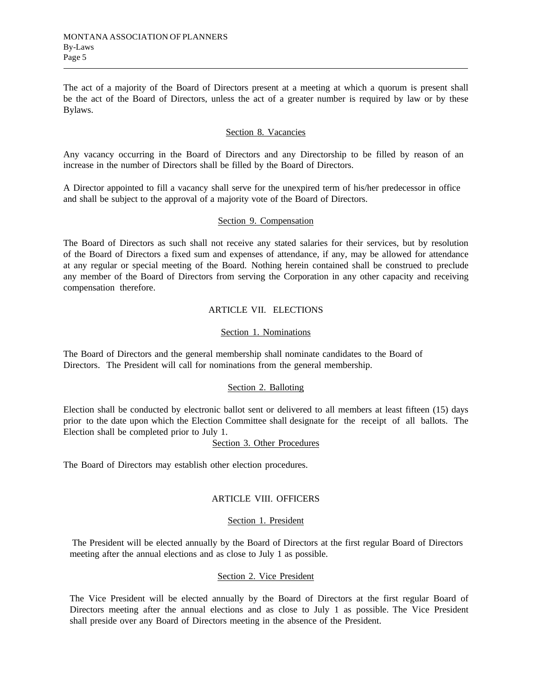The act of a majority of the Board of Directors present at a meeting at which a quorum is present shall be the act of the Board of Directors, unless the act of a greater number is required by law or by these Bylaws.

## Section 8. Vacancies

Any vacancy occurring in the Board of Directors and any Directorship to be filled by reason of an increase in the number of Directors shall be filled by the Board of Directors.

A Director appointed to fill a vacancy shall serve for the unexpired term of his/her predecessor in office and shall be subject to the approval of a majority vote of the Board of Directors.

#### Section 9. Compensation

The Board of Directors as such shall not receive any stated salaries for their services, but by resolution of the Board of Directors a fixed sum and expenses of attendance, if any, may be allowed for attendance at any regular or special meeting of the Board. Nothing herein contained shall be construed to preclude any member of the Board of Directors from serving the Corporation in any other capacity and receiving compensation therefore.

## ARTICLE VII. ELECTIONS

### Section 1. Nominations

The Board of Directors and the general membership shall nominate candidates to the Board of Directors. The President will call for nominations from the general membership.

## Section 2. Balloting

Election shall be conducted by electronic ballot sent or delivered to all members at least fifteen (15) days prior to the date upon which the Election Committee shall designate for the receipt of all ballots. The Election shall be completed prior to July 1.

## Section 3. Other Procedures

The Board of Directors may establish other election procedures.

# ARTICLE VIII. OFFICERS

### Section 1. President

The President will be elected annually by the Board of Directors at the first regular Board of Directors meeting after the annual elections and as close to July 1 as possible.

### Section 2. Vice President

The Vice President will be elected annually by the Board of Directors at the first regular Board of Directors meeting after the annual elections and as close to July 1 as possible. The Vice President shall preside over any Board of Directors meeting in the absence of the President.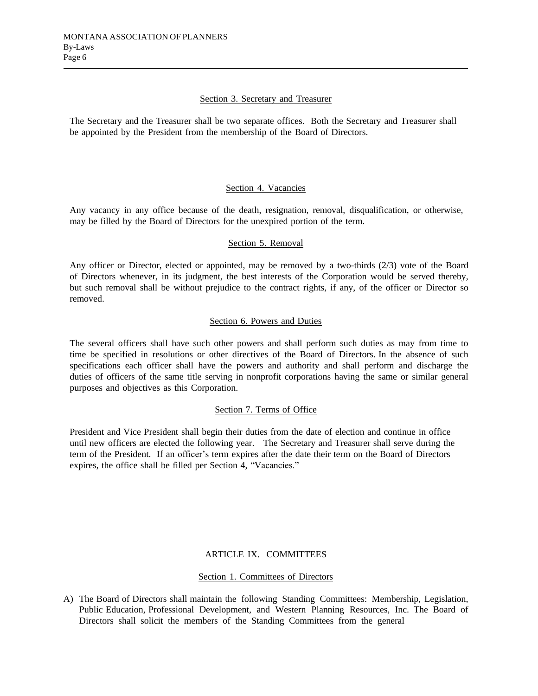## Section 3. Secretary and Treasurer

The Secretary and the Treasurer shall be two separate offices. Both the Secretary and Treasurer shall be appointed by the President from the membership of the Board of Directors.

## Section 4. Vacancies

Any vacancy in any office because of the death, resignation, removal, disqualification, or otherwise, may be filled by the Board of Directors for the unexpired portion of the term.

## Section 5. Removal

Any officer or Director, elected or appointed, may be removed by a two-thirds (2/3) vote of the Board of Directors whenever, in its judgment, the best interests of the Corporation would be served thereby, but such removal shall be without prejudice to the contract rights, if any, of the officer or Director so removed.

## Section 6. Powers and Duties

The several officers shall have such other powers and shall perform such duties as may from time to time be specified in resolutions or other directives of the Board of Directors. In the absence of such specifications each officer shall have the powers and authority and shall perform and discharge the duties of officers of the same title serving in nonprofit corporations having the same or similar general purposes and objectives as this Corporation.

## Section 7. Terms of Office

President and Vice President shall begin their duties from the date of election and continue in office until new officers are elected the following year. The Secretary and Treasurer shall serve during the term of the President. If an officer's term expires after the date their term on the Board of Directors expires, the office shall be filled per Section 4, "Vacancies."

# ARTICLE IX. COMMITTEES

## Section 1. Committees of Directors

A) The Board of Directors shall maintain the following Standing Committees: Membership, Legislation, Public Education, Professional Development, and Western Planning Resources, Inc. The Board of Directors shall solicit the members of the Standing Committees from the general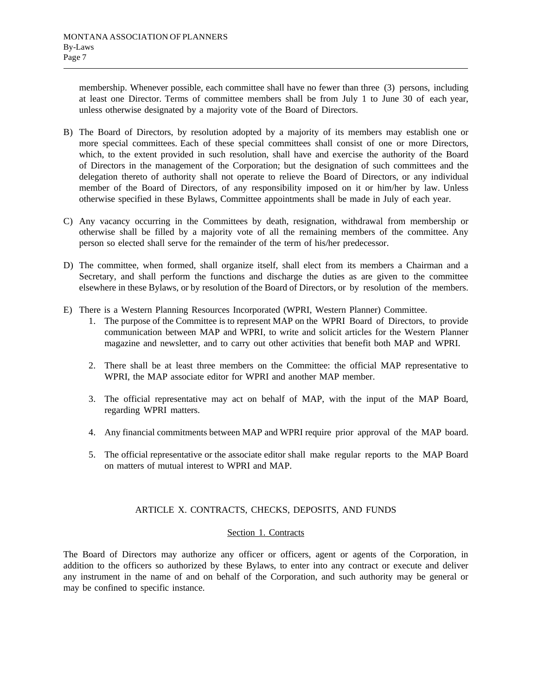membership. Whenever possible, each committee shall have no fewer than three (3) persons, including at least one Director. Terms of committee members shall be from July 1 to June 30 of each year, unless otherwise designated by a majority vote of the Board of Directors.

- B) The Board of Directors, by resolution adopted by a majority of its members may establish one or more special committees. Each of these special committees shall consist of one or more Directors, which, to the extent provided in such resolution, shall have and exercise the authority of the Board of Directors in the management of the Corporation; but the designation of such committees and the delegation thereto of authority shall not operate to relieve the Board of Directors, or any individual member of the Board of Directors, of any responsibility imposed on it or him/her by law. Unless otherwise specified in these Bylaws, Committee appointments shall be made in July of each year.
- C) Any vacancy occurring in the Committees by death, resignation, withdrawal from membership or otherwise shall be filled by a majority vote of all the remaining members of the committee. Any person so elected shall serve for the remainder of the term of his/her predecessor.
- D) The committee, when formed, shall organize itself, shall elect from its members a Chairman and a Secretary, and shall perform the functions and discharge the duties as are given to the committee elsewhere in these Bylaws, or by resolution of the Board of Directors, or by resolution of the members.
- E) There is a Western Planning Resources Incorporated (WPRI, Western Planner) Committee.
	- 1. The purpose of the Committee is to represent MAP on the WPRI Board of Directors, to provide communication between MAP and WPRI, to write and solicit articles for the Western Planner magazine and newsletter, and to carry out other activities that benefit both MAP and WPRI.
	- 2. There shall be at least three members on the Committee: the official MAP representative to WPRI, the MAP associate editor for WPRI and another MAP member.
	- 3. The official representative may act on behalf of MAP, with the input of the MAP Board, regarding WPRI matters.
	- 4. Any financial commitments between MAP and WPRI require prior approval of the MAP board.
	- 5. The official representative or the associate editor shall make regular reports to the MAP Board on matters of mutual interest to WPRI and MAP.

# ARTICLE X. CONTRACTS, CHECKS, DEPOSITS, AND FUNDS

## Section 1. Contracts

The Board of Directors may authorize any officer or officers, agent or agents of the Corporation, in addition to the officers so authorized by these Bylaws, to enter into any contract or execute and deliver any instrument in the name of and on behalf of the Corporation, and such authority may be general or may be confined to specific instance.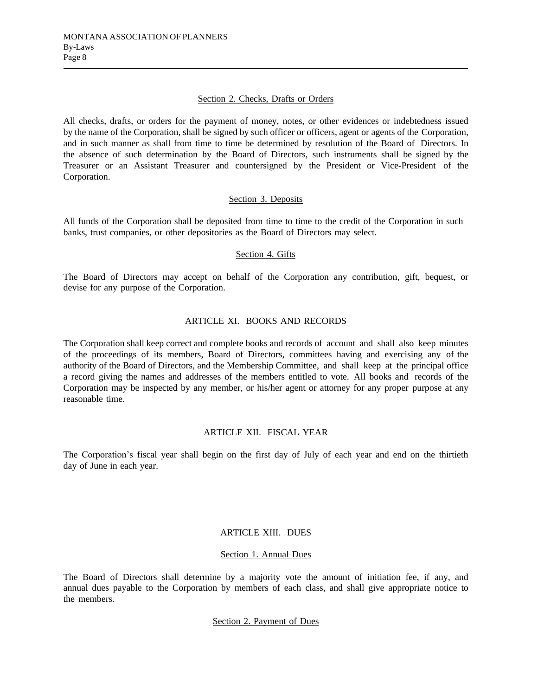## Section 2. Checks, Drafts or Orders

All checks, drafts, or orders for the payment of money, notes, or other evidences or indebtedness issued by the name of the Corporation, shall be signed by such officer or officers, agent or agents of the Corporation, and in such manner as shall from time to time be determined by resolution of the Board of Directors. In the absence of such determination by the Board of Directors, such instruments shall be signed by the Treasurer or an Assistant Treasurer and countersigned by the President or Vice-President of the Corporation.

## Section 3. Deposits

All funds of the Corporation shall be deposited from time to time to the credit of the Corporation in such banks, trust companies, or other depositories as the Board of Directors may select.

### Section 4. Gifts

The Board of Directors may accept on behalf of the Corporation any contribution, gift, bequest, or devise for any purpose of the Corporation.

# ARTICLE XI. BOOKS AND RECORDS

The Corporation shall keep correct and complete books and records of account and shall also keep minutes of the proceedings of its members, Board of Directors, committees having and exercising any of the authority of the Board of Directors, and the Membership Committee, and shall keep at the principal office a record giving the names and addresses of the members entitled to vote. All books and records of the Corporation may be inspected by any member, or his/her agent or attorney for any proper purpose at any reasonable time.

## ARTICLE XII. FISCAL YEAR

The Corporation's fiscal year shall begin on the first day of July of each year and end on the thirtieth day of June in each year.

# ARTICLE XIII. DUES

#### Section 1. Annual Dues

The Board of Directors shall determine by a majority vote the amount of initiation fee, if any, and annual dues payable to the Corporation by members of each class, and shall give appropriate notice to the members.

## Section 2. Payment of Dues